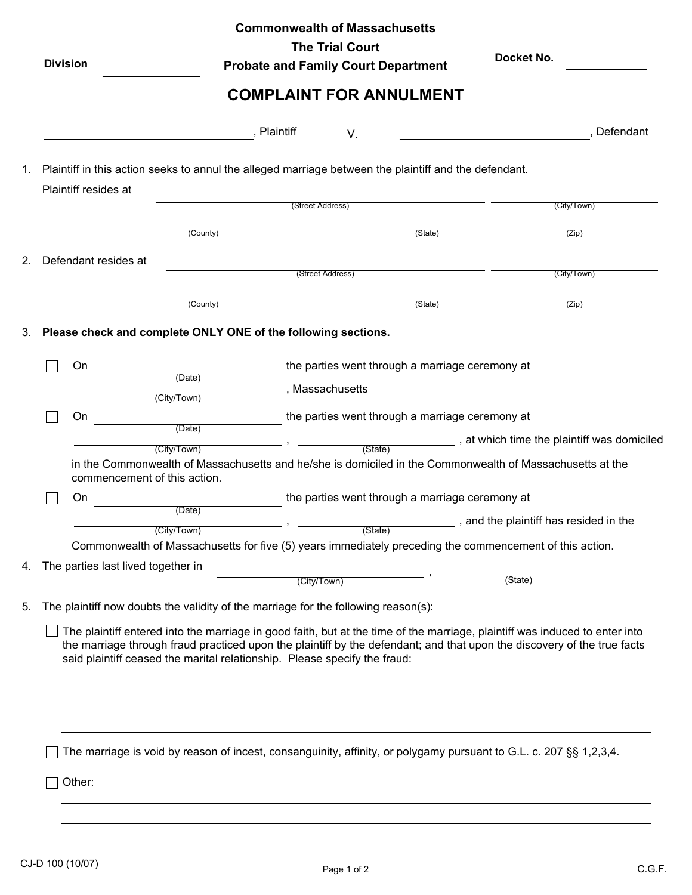| <b>Division</b>                    | $\blacktriangledown$  |                                                                                    | <b>Probate and Family Court Department</b><br><b>COMPLAINT FOR ANNULMENT</b>                          | Docket No.                                                                                                                                                                                                                                             |
|------------------------------------|-----------------------|------------------------------------------------------------------------------------|-------------------------------------------------------------------------------------------------------|--------------------------------------------------------------------------------------------------------------------------------------------------------------------------------------------------------------------------------------------------------|
|                                    |                       | , Plaintiff                                                                        | V.                                                                                                    | , Defendant                                                                                                                                                                                                                                            |
|                                    |                       |                                                                                    | Plaintiff in this action seeks to annul the alleged marriage between the plaintiff and the defendant. |                                                                                                                                                                                                                                                        |
| Plaintiff resides at               |                       | (Street Address)                                                                   |                                                                                                       | (City/Town)                                                                                                                                                                                                                                            |
|                                    | (County)              |                                                                                    | (State)                                                                                               | (Zip)                                                                                                                                                                                                                                                  |
| Defendant resides at               |                       | (Street Address)                                                                   |                                                                                                       | (City/Town)                                                                                                                                                                                                                                            |
|                                    |                       |                                                                                    |                                                                                                       |                                                                                                                                                                                                                                                        |
|                                    | (County)              |                                                                                    | (State)                                                                                               | (Zip)                                                                                                                                                                                                                                                  |
| On                                 |                       |                                                                                    | the parties went through a marriage ceremony at                                                       |                                                                                                                                                                                                                                                        |
|                                    | (Date)<br>(City/Town) | , Massachusetts                                                                    |                                                                                                       |                                                                                                                                                                                                                                                        |
| On                                 |                       |                                                                                    | the parties went through a marriage ceremony at                                                       |                                                                                                                                                                                                                                                        |
|                                    | (Date)                |                                                                                    | (State)                                                                                               | at which time the plaintiff was domiciled                                                                                                                                                                                                              |
| commencement of this action.       | (City/Town)           |                                                                                    |                                                                                                       | in the Commonwealth of Massachusetts and he/she is domiciled in the Commonwealth of Massachusetts at the                                                                                                                                               |
| On                                 |                       |                                                                                    | the parties went through a marriage ceremony at                                                       |                                                                                                                                                                                                                                                        |
|                                    | (Date)<br>(City/Town) | $ -$                                                                               | (State)                                                                                               | and the plaintiff has resided in the                                                                                                                                                                                                                   |
|                                    |                       |                                                                                    |                                                                                                       | Commonwealth of Massachusetts for five (5) years immediately preceding the commencement of this action.                                                                                                                                                |
| The parties last lived together in |                       |                                                                                    |                                                                                                       |                                                                                                                                                                                                                                                        |
|                                    |                       | (City/Town)                                                                        |                                                                                                       | (State)                                                                                                                                                                                                                                                |
|                                    |                       | The plaintiff now doubts the validity of the marriage for the following reason(s): |                                                                                                       |                                                                                                                                                                                                                                                        |
|                                    |                       | said plaintiff ceased the marital relationship. Please specify the fraud:          |                                                                                                       | The plaintiff entered into the marriage in good faith, but at the time of the marriage, plaintiff was induced to enter into<br>the marriage through fraud practiced upon the plaintiff by the defendant; and that upon the discovery of the true facts |
|                                    |                       |                                                                                    |                                                                                                       |                                                                                                                                                                                                                                                        |
|                                    |                       |                                                                                    |                                                                                                       |                                                                                                                                                                                                                                                        |
|                                    |                       |                                                                                    |                                                                                                       | The marriage is void by reason of incest, consanguinity, affinity, or polygamy pursuant to G.L. c. 207 §§ 1,2,3,4.                                                                                                                                     |
| Other:                             |                       |                                                                                    |                                                                                                       |                                                                                                                                                                                                                                                        |